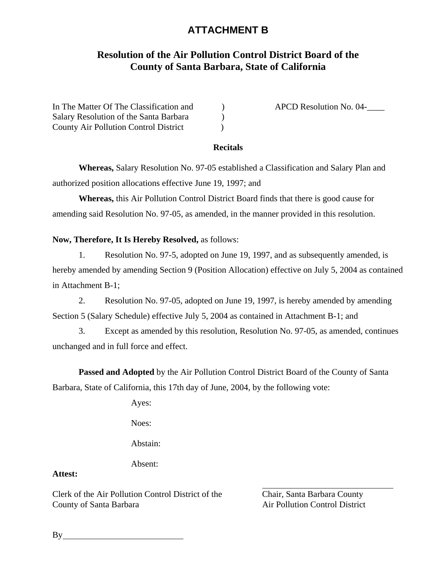# **ATTACHMENT B**

### **Resolution of the Air Pollution Control District Board of the County of Santa Barbara, State of California**

| In The Matter Of The Classification and      |  |
|----------------------------------------------|--|
| Salary Resolution of the Santa Barbara       |  |
| <b>County Air Pollution Control District</b> |  |

APCD Resolution No. 04-

#### **Recitals**

**Whereas,** Salary Resolution No. 97-05 established a Classification and Salary Plan and authorized position allocations effective June 19, 1997; and

**Whereas,** this Air Pollution Control District Board finds that there is good cause for amending said Resolution No. 97-05, as amended, in the manner provided in this resolution.

#### **Now, Therefore, It Is Hereby Resolved,** as follows:

1. Resolution No. 97-5, adopted on June 19, 1997, and as subsequently amended, is hereby amended by amending Section 9 (Position Allocation) effective on July 5, 2004 as contained in Attachment B-1;

2. Resolution No. 97-05, adopted on June 19, 1997, is hereby amended by amending Section 5 (Salary Schedule) effective July 5, 2004 as contained in Attachment B-1; and

3. Except as amended by this resolution, Resolution No. 97-05, as amended, continues unchanged and in full force and effect.

**Passed and Adopted** by the Air Pollution Control District Board of the County of Santa Barbara, State of California, this 17th day of June, 2004, by the following vote:

Ayes:

Noes:

Abstain:

Absent:

### **Attest:**

Clerk of the Air Pollution Control District of the Chair, Santa Barbara County County of Santa Barbara **Air Pollution Control District** 

 $By$ <sub>\_\_</sub>